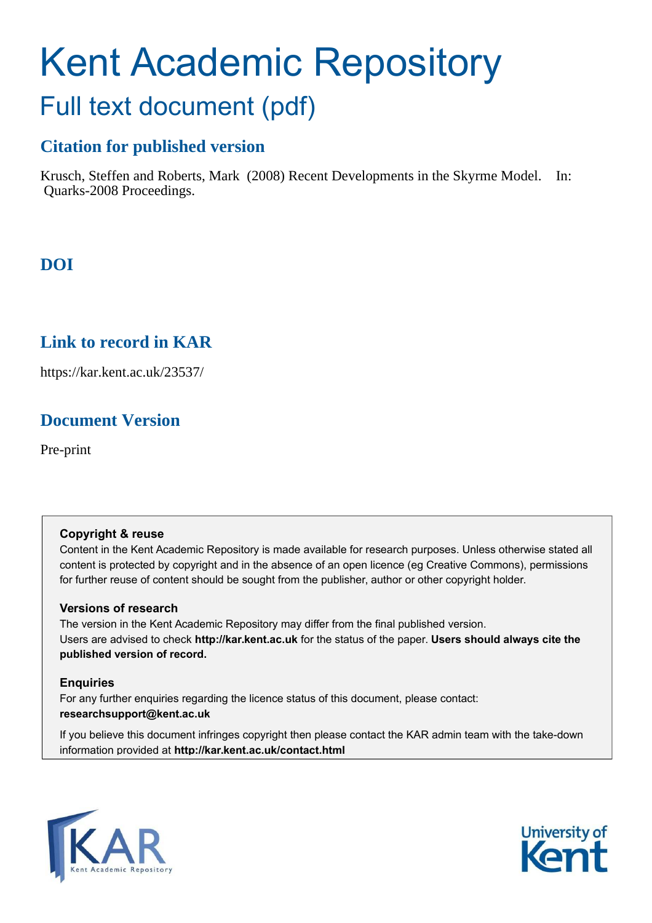# Kent Academic Repository Full text document (pdf)

# **Citation for published version**

Krusch, Steffen and Roberts, Mark (2008) Recent Developments in the Skyrme Model. In: Quarks-2008 Proceedings.

# **DOI**

# **Link to record in KAR**

https://kar.kent.ac.uk/23537/

# **Document Version**

Pre-print

## **Copyright & reuse**

Content in the Kent Academic Repository is made available for research purposes. Unless otherwise stated all content is protected by copyright and in the absence of an open licence (eg Creative Commons), permissions for further reuse of content should be sought from the publisher, author or other copyright holder.

#### **Versions of research**

The version in the Kent Academic Repository may differ from the final published version. Users are advised to check **http://kar.kent.ac.uk** for the status of the paper. **Users should always cite the published version of record.**

## **Enquiries**

For any further enquiries regarding the licence status of this document, please contact: **researchsupport@kent.ac.uk**

If you believe this document infringes copyright then please contact the KAR admin team with the take-down information provided at **http://kar.kent.ac.uk/contact.html**



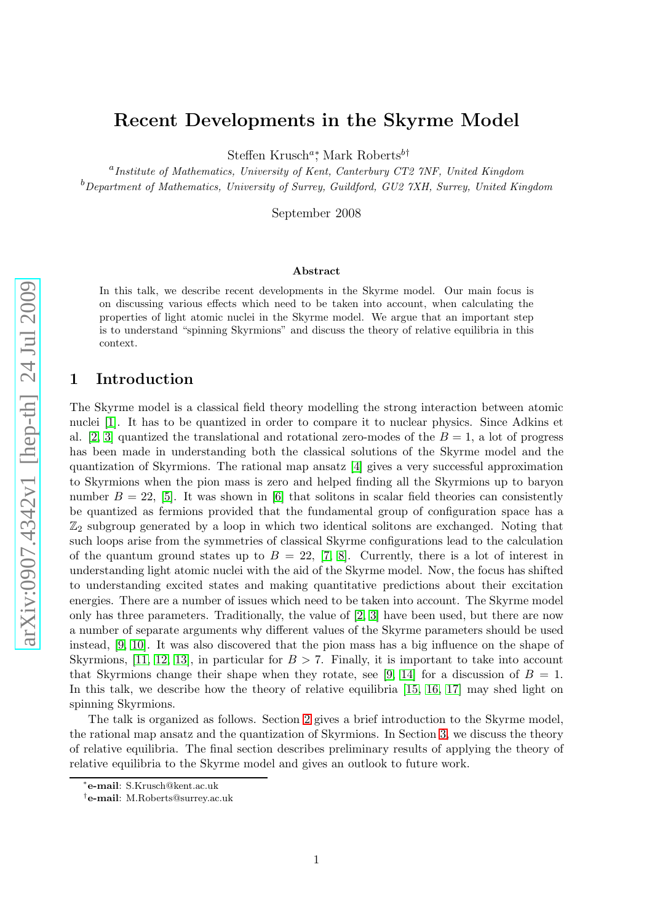# <span id="page-1-1"></span><span id="page-1-0"></span>Recent Developments in the Skyrme Model

Steffen Krusch<sup>a</sup><sup>\*</sup>, Mark Roberts<sup>b†</sup>

<sup>a</sup> Institute of Mathematics, University of Kent, Canterbury CT2 7NF, United Kingdom  $b$ Department of Mathematics, University of Surrey, Guildford, GU2  $7XH$ , Surrey, United Kingdom

September 2008

#### Abstract

In this talk, we describe recent developments in the Skyrme model. Our main focus is on discussing various effects which need to be taken into account, when calculating the properties of light atomic nuclei in the Skyrme model. We argue that an important step is to understand "spinning Skyrmions" and discuss the theory of relative equilibria in this context.

#### 1 Introduction

The Skyrme model is a classical field theory modelling the strong interaction between atomic nuclei [\[1\]](#page-7-0). It has to be quantized in order to compare it to nuclear physics. Since Adkins et al. [\[2,](#page-7-1) [3\]](#page-7-2) quantized the translational and rotational zero-modes of the  $B=1$ , a lot of progress has been made in understanding both the classical solutions of the Skyrme model and the quantization of Skyrmions. The rational map ansatz [\[4\]](#page-7-3) gives a very successful approximation to Skyrmions when the pion mass is zero and helped finding all the Skyrmions up to baryon number  $B = 22$ , [\[5\]](#page-7-4). It was shown in [\[6\]](#page-7-5) that solitons in scalar field theories can consistently be quantized as fermions provided that the fundamental group of configuration space has a  $\mathbb{Z}_2$  subgroup generated by a loop in which two identical solitons are exchanged. Noting that such loops arise from the symmetries of classical Skyrme configurations lead to the calculation of the quantum ground states up to  $B = 22$ , [\[7,](#page-7-6) [8\]](#page-7-7). Currently, there is a lot of interest in understanding light atomic nuclei with the aid of the Skyrme model. Now, the focus has shifted to understanding excited states and making quantitative predictions about their excitation energies. There are a number of issues which need to be taken into account. The Skyrme model only has three parameters. Traditionally, the value of [\[2,](#page-7-1) [3\]](#page-7-2) have been used, but there are now a number of separate arguments why different values of the Skyrme parameters should be used instead, [\[9,](#page-7-8) [10\]](#page-7-9). It was also discovered that the pion mass has a big influence on the shape of Skyrmions, [\[11,](#page-7-10) [12,](#page-7-11) [13\]](#page-7-12), in particular for  $B > 7$ . Finally, it is important to take into account that Skyrmions change their shape when they rotate, see [\[9,](#page-7-8) [14\]](#page-7-13) for a discussion of  $B = 1$ . In this talk, we describe how the theory of relative equilibria [\[15,](#page-8-0) [16,](#page-8-1) [17\]](#page-8-2) may shed light on spinning Skyrmions.

The talk is organized as follows. Section [2](#page-1-0) gives a brief introduction to the Skyrme model, the rational map ansatz and the quantization of Skyrmions. In Section [3,](#page-5-0) we discuss the theory of relative equilibria. The final section describes preliminary results of applying the theory of relative equilibria to the Skyrme model and gives an outlook to future work.

<sup>∗</sup> e-mail: S.Krusch@kent.ac.uk

<sup>†</sup> e-mail: M.Roberts@surrey.ac.uk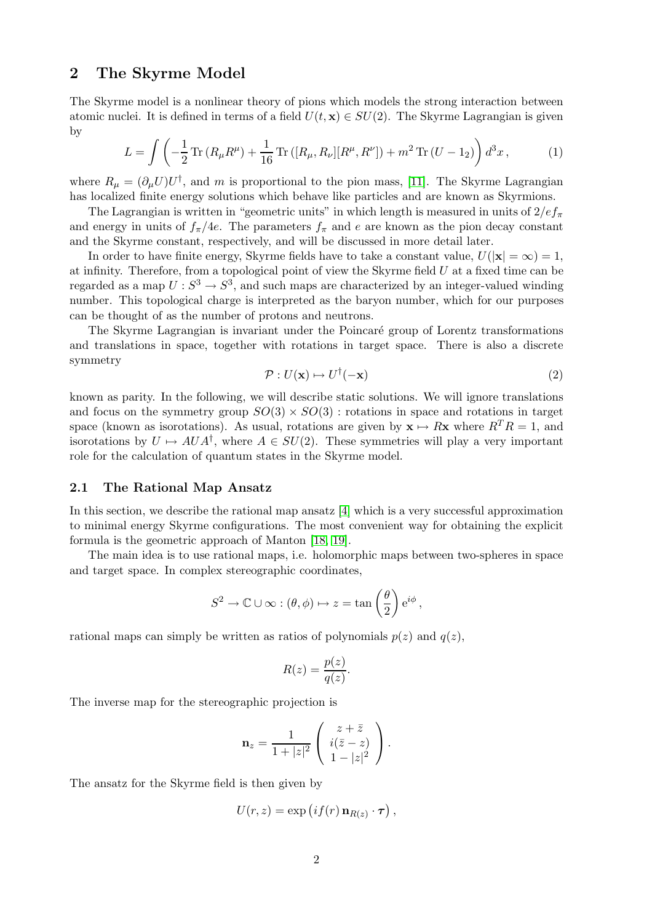## 2 The Skyrme Model

The Skyrme model is a nonlinear theory of pions which models the strong interaction between atomic nuclei. It is defined in terms of a field  $U(t, x) \in SU(2)$ . The Skyrme Lagrangian is given by

$$
L = \int \left( -\frac{1}{2} \operatorname{Tr} \left( R_{\mu} R^{\mu} \right) + \frac{1}{16} \operatorname{Tr} \left( [R_{\mu}, R_{\nu}] [R^{\mu}, R^{\nu}] \right) + m^2 \operatorname{Tr} \left( U - 1_2 \right) \right) d^3 x \,, \tag{1}
$$

where  $R_{\mu} = (\partial_{\mu}U)U^{\dagger}$ , and m is proportional to the pion mass, [\[11\]](#page-7-10). The Skyrme Lagrangian has localized finite energy solutions which behave like particles and are known as Skyrmions.

The Lagrangian is written in "geometric units" in which length is measured in units of  $2/e f_{\pi}$ and energy in units of  $f_{\pi}/4e$ . The parameters  $f_{\pi}$  and e are known as the pion decay constant and the Skyrme constant, respectively, and will be discussed in more detail later.

In order to have finite energy, Skyrme fields have to take a constant value,  $U(|\mathbf{x}| = \infty) = 1$ , at infinity. Therefore, from a topological point of view the Skyrme field  $U$  at a fixed time can be regarded as a map  $U: S^3 \to S^3$ , and such maps are characterized by an integer-valued winding number. This topological charge is interpreted as the baryon number, which for our purposes can be thought of as the number of protons and neutrons.

The Skyrme Lagrangian is invariant under the Poincaré group of Lorentz transformations and translations in space, together with rotations in target space. There is also a discrete symmetry

$$
\mathcal{P}: U(\mathbf{x}) \mapsto U^{\dagger}(-\mathbf{x}) \tag{2}
$$

known as parity. In the following, we will describe static solutions. We will ignore translations and focus on the symmetry group  $SO(3) \times SO(3)$ : rotations in space and rotations in target space (known as isorotations). As usual, rotations are given by  $\mathbf{x} \mapsto R\mathbf{x}$  where  $R^{T} R = 1$ , and isorotations by  $U \mapsto AUA^{\dagger}$ , where  $A \in SU(2)$ . These symmetries will play a very important role for the calculation of quantum states in the Skyrme model.

#### 2.1 The Rational Map Ansatz

In this section, we describe the rational map ansatz [\[4\]](#page-7-3) which is a very successful approximation to minimal energy Skyrme configurations. The most convenient way for obtaining the explicit formula is the geometric approach of Manton [\[18,](#page-8-3) [19\]](#page-8-4).

The main idea is to use rational maps, i.e. holomorphic maps between two-spheres in space and target space. In complex stereographic coordinates,

<span id="page-2-0"></span>
$$
S^2 \to \mathbb{C} \cup \infty : (\theta, \phi) \mapsto z = \tan\left(\frac{\theta}{2}\right) e^{i\phi},
$$

rational maps can simply be written as ratios of polynomials  $p(z)$  and  $q(z)$ ,

$$
R(z) = \frac{p(z)}{q(z)}.
$$

The inverse map for the stereographic projection is

$$
\mathbf{n}_z = \frac{1}{1+|z|^2} \left( \begin{array}{c} z+\bar{z} \\ i(\bar{z}-z) \\ 1-|z|^2 \end{array} \right).
$$

The ansatz for the Skyrme field is then given by

$$
U(r, z) = \exp\left(if(r) \mathbf{n}_{R(z)} \cdot \boldsymbol{\tau}\right),
$$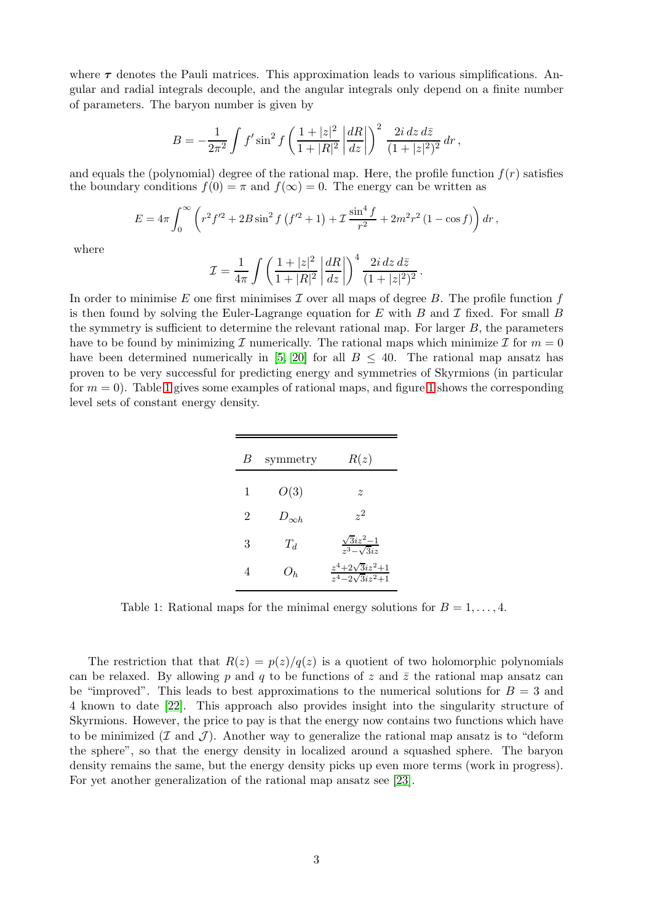where  $\tau$  denotes the Pauli matrices. This approximation leads to various simplifications. Angular and radial integrals decouple, and the angular integrals only depend on a finite number of parameters. The baryon number is given by

$$
B = -\frac{1}{2\pi^2} \int f' \sin^2 f \left( \frac{1+|z|^2}{1+|R|^2} \left| \frac{dR}{dz} \right| \right)^2 \frac{2i dz d\bar{z}}{(1+|z|^2)^2} dr,
$$

and equals the (polynomial) degree of the rational map. Here, the profile function  $f(r)$  satisfies the boundary conditions  $f(0) = \pi$  and  $f(\infty) = 0$ . The energy can be written as

$$
E = 4\pi \int_0^\infty \left( r^2 f'^2 + 2B \sin^2 f \left( f'^2 + 1 \right) + \mathcal{I} \frac{\sin^4 f}{r^2} + 2m^2 r^2 \left( 1 - \cos f \right) \right) dr,
$$

where

$$
\mathcal{I} = \frac{1}{4\pi} \int \left( \frac{1+|z|^2}{1+|R|^2} \left| \frac{dR}{dz} \right| \right)^4 \frac{2i \, dz \, d\bar{z}}{(1+|z|^2)^2} \, .
$$

In order to minimise E one first minimises T over all maps of degree B. The profile function  $f$ is then found by solving the Euler-Lagrange equation for E with B and T fixed. For small B the symmetry is sufficient to determine the relevant rational map. For larger  $B$ , the parameters have to be found by minimizing I numerically. The rational maps which minimize I for  $m = 0$ have been determined numerically in [\[5,](#page-7-4) [20\]](#page-8-5) for all  $B \leq 40$ . The rational map ansatz has proven to be very successful for predicting energy and symmetries of Skyrmions (in particular for  $m = 0$ . Table [1](#page-3-0) gives some examples of rational maps, and figure 1 shows the corresponding level sets of constant energy density.

<span id="page-3-1"></span><span id="page-3-0"></span>

| B              | symmetry       | R(z)                                              |
|----------------|----------------|---------------------------------------------------|
| $\mathbf{1}$   | O(3)           | $\tilde{z}$                                       |
| $\overline{2}$ | $D_{\infty h}$ | $\gamma^2$                                        |
| 3              | $T_d$          | $\frac{\sqrt{3}iz^2-1}{z^3-\sqrt{3}iz}$           |
| 4              | $O_h$          | $\frac{z^4+2\sqrt{3}iz^2+1}{z^4-2\sqrt{3}iz^2+1}$ |

Table 1: Rational maps for the minimal energy solutions for  $B = 1, \ldots, 4$ .

<span id="page-3-2"></span>The restriction that that  $R(z) = p(z)/q(z)$  is a quotient of two holomorphic polynomials can be relaxed. By allowing p and q to be functions of z and  $\bar{z}$  the rational map ansatz can be "improved". This leads to best approximations to the numerical solutions for  $B = 3$  and 4 known to date [\[22\]](#page-8-6). This approach also provides insight into the singularity structure of Skyrmions. However, the price to pay is that the energy now contains two functions which have to be minimized  $(\mathcal{I} \text{ and } \mathcal{J})$ . Another way to generalize the rational map ansatz is to "deform" the sphere", so that the energy density in localized around a squashed sphere. The baryon density remains the same, but the energy density picks up even more terms (work in progress). For yet another generalization of the rational map ansatz see [\[23\]](#page-8-7).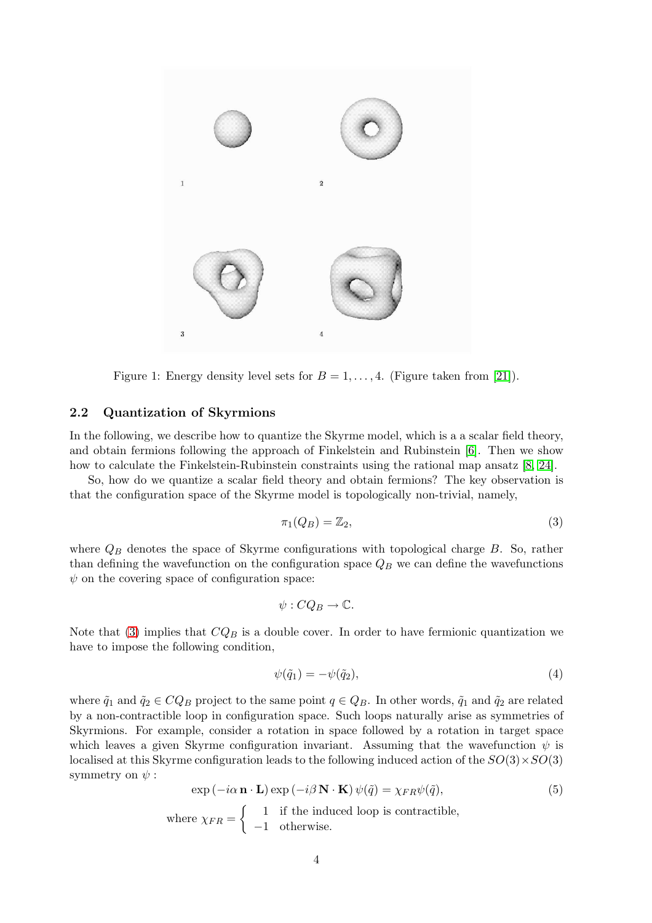

Figure 1: Energy density level sets for  $B = 1, \ldots, 4$ . (Figure taken from [\[21\]](#page-8-8)).

#### 2.2 Quantization of Skyrmions

In the following, we describe how to quantize the Skyrme model, which is a a scalar field theory, and obtain fermions following the approach of Finkelstein and Rubinstein [\[6\]](#page-7-5). Then we show how to calculate the Finkelstein-Rubinstein constraints using the rational map ansatz [\[8,](#page-7-7) [24\]](#page-8-9).

So, how do we quantize a scalar field theory and obtain fermions? The key observation is that the configuration space of the Skyrme model is topologically non-trivial, namely,

<span id="page-4-1"></span>
$$
\pi_1(Q_B) = \mathbb{Z}_2,\tag{3}
$$

where  $Q_B$  denotes the space of Skyrme configurations with topological charge  $B$ . So, rather than defining the wavefunction on the configuration space  $Q_B$  we can define the wavefunctions  $\psi$  on the covering space of configuration space:

$$
\psi: CQ_B \to \mathbb{C}.
$$

Note that [\(3\)](#page-3-1) implies that  $CQ_B$  is a double cover. In order to have fermionic quantization we have to impose the following condition,

$$
\psi(\tilde{q}_1) = -\psi(\tilde{q}_2),\tag{4}
$$

where  $\tilde{q}_1$  and  $\tilde{q}_2 \in CQ_B$  project to the same point  $q \in Q_B$ . In other words,  $\tilde{q}_1$  and  $\tilde{q}_2$  are related by a non-contractible loop in configuration space. Such loops naturally arise as symmetries of Skyrmions. For example, consider a rotation in space followed by a rotation in target space which leaves a given Skyrme configuration invariant. Assuming that the wavefunction  $\psi$  is localised at this Skyrme configuration leads to the following induced action of the  $SO(3) \times SO(3)$ symmetry on  $\psi$ :

<span id="page-4-0"></span>
$$
\exp(-i\alpha \mathbf{n} \cdot \mathbf{L}) \exp(-i\beta \mathbf{N} \cdot \mathbf{K}) \psi(\tilde{q}) = \chi_{FR} \psi(\tilde{q}),
$$
\n
$$
\text{where } \chi_{FR} = \begin{cases} 1 & \text{if the induced loop is contractible,} \\ -1 & \text{otherwise.} \end{cases} \tag{5}
$$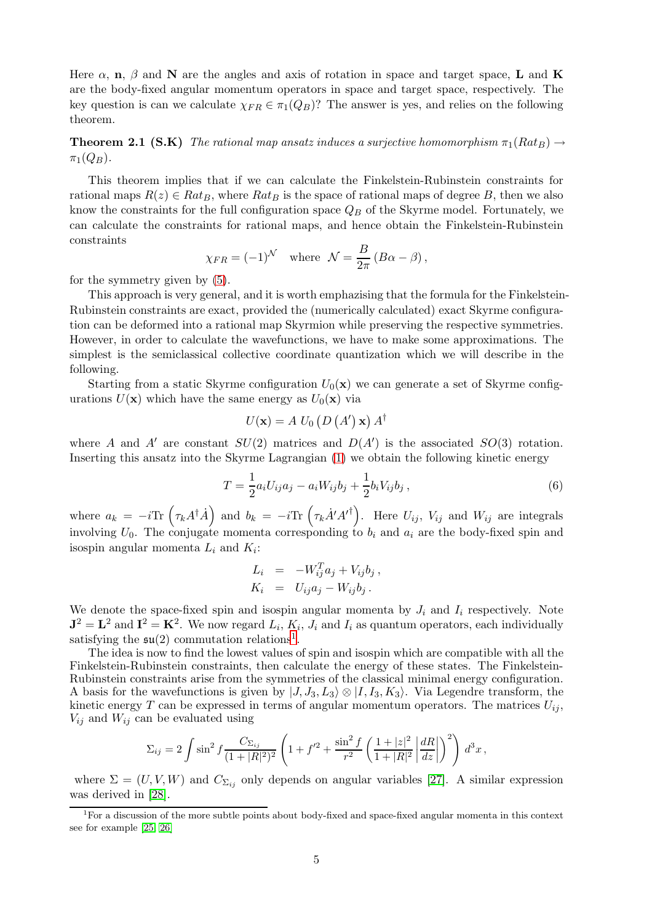Here  $\alpha$ , **n**,  $\beta$  and **N** are the angles and axis of rotation in space and target space, **L** and **K** are the body-fixed angular momentum operators in space and target space, respectively. The key question is can we calculate  $\chi_{FR} \in \pi_1(Q_B)$ ? The answer is yes, and relies on the following theorem.

**Theorem 2.1 (S.K)** The rational map ansatz induces a surjective homomorphism  $\pi_1(Rat_B) \rightarrow$  $\pi_1(Q_B)$ .

This theorem implies that if we can calculate the Finkelstein-Rubinstein constraints for rational maps  $R(z) \in Rat_B$ , where  $Rat_B$  is the space of rational maps of degree B, then we also know the constraints for the full configuration space  $Q_B$  of the Skyrme model. Fortunately, we can calculate the constraints for rational maps, and hence obtain the Finkelstein-Rubinstein constraints

$$
\chi_{FR} = (-1)^{\mathcal{N}}
$$
 where  $\mathcal{N} = \frac{B}{2\pi} (B\alpha - \beta)$ ,

for the symmetry given by [\(5\)](#page-3-2).

This approach is very general, and it is worth emphazising that the formula for the Finkelstein-Rubinstein constraints are exact, provided the (numerically calculated) exact Skyrme configuration can be deformed into a rational map Skyrmion while preserving the respective symmetries. However, in order to calculate the wavefunctions, we have to make some approximations. The simplest is the semiclassical collective coordinate quantization which we will describe in the following.

Starting from a static Skyrme configuration  $U_0(\mathbf{x})$  we can generate a set of Skyrme configurations  $U(\mathbf{x})$  which have the same energy as  $U_0(\mathbf{x})$  via

$$
U(\mathbf{x}) = A U_0 (D (A') \mathbf{x}) A^{\dagger}
$$

where A and A' are constant  $SU(2)$  matrices and  $D(A')$  is the associated  $SO(3)$  rotation. Inserting this ansatz into the Skyrme Lagrangian [\(1\)](#page-1-1) we obtain the following kinetic energy

$$
T = \frac{1}{2} a_i U_{ij} a_j - a_i W_{ij} b_j + \frac{1}{2} b_i V_{ij} b_j , \qquad (6)
$$

where  $a_k = -i \text{Tr} \left( \tau_k A^{\dagger} \dot{A} \right)$  and  $b_k = -i \text{Tr} \left( \tau_k \dot{A}' A'^{\dagger} \right)$ . Here  $U_{ij}$ ,  $V_{ij}$  and  $W_{ij}$  are integrals involving  $U_0$ . The conjugate momenta corresponding to  $b_i$  and  $a_i$  are the body-fixed spin and isospin angular momenta  $L_i$  and  $K_i$ :

$$
L_i = -W_{ij}^T a_j + V_{ij} b_j,
$$
  
\n
$$
K_i = U_{ij} a_j - W_{ij} b_j.
$$

We denote the space-fixed spin and isospin angular momenta by  $J_i$  and  $I_i$  respectively. Note  $J^2 = L^2$  and  $I^2 = K^2$ . We now regard  $L_i$ ,  $K_i$ ,  $J_i$  and  $I_i$  as quantum operators, each individually satisfying the  $\mathfrak{su}(2)$  commutation relations<sup>[1](#page-4-0)</sup>.

<span id="page-5-0"></span>The idea is now to find the lowest values of spin and isospin which are compatible with all the Finkelstein-Rubinstein constraints, then calculate the energy of these states. The Finkelstein-Rubinstein constraints arise from the symmetries of the classical minimal energy configuration. A basis for the wavefunctions is given by  $|J, J_3, L_3\rangle \otimes |I, I_3, K_3\rangle$ . Via Legendre transform, the kinetic energy T can be expressed in terms of angular momentum operators. The matrices  $U_{ij}$ ,  $V_{ij}$  and  $W_{ij}$  can be evaluated using

$$
\Sigma_{ij} = 2 \int \sin^2 f \frac{C_{\Sigma_{ij}}}{(1+|R|^2)^2} \left(1 + f'^2 + \frac{\sin^2 f}{r^2} \left(\frac{1+|z|^2}{1+|R|^2} \left|\frac{dR}{dz}\right|\right)^2\right) d^3x,
$$

where  $\Sigma = (U, V, W)$  and  $C_{\Sigma_{ij}}$  only depends on angular variables [\[27\]](#page-8-10). A similar expression was derived in [\[28\]](#page-8-11).

<sup>&</sup>lt;sup>1</sup>For a discussion of the more subtle points about body-fixed and space-fixed angular momenta in this context see for example [\[25,](#page-8-12) [26\]](#page-8-13)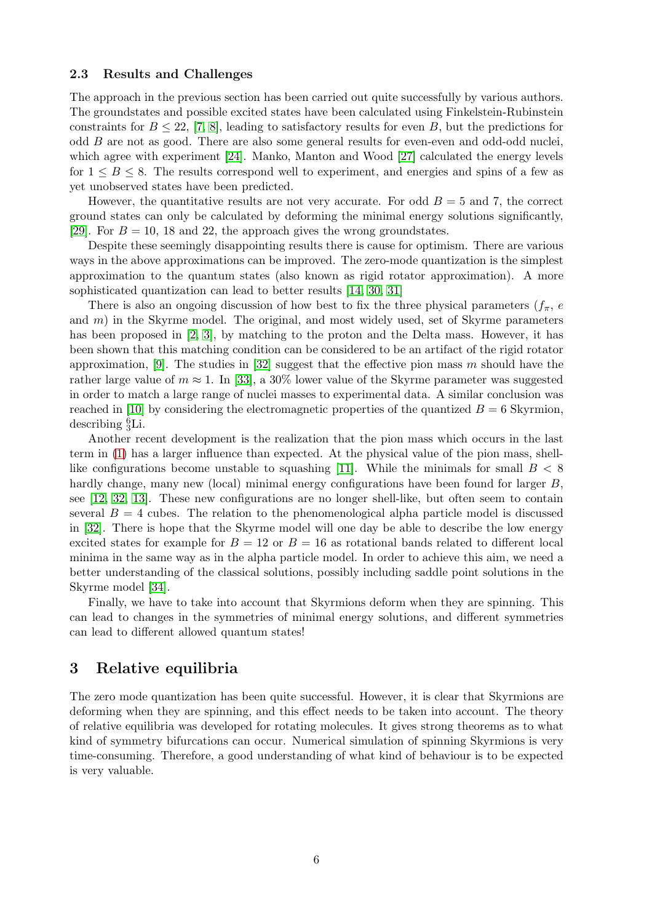#### 2.3 Results and Challenges

The approach in the previous section has been carried out quite successfully by various authors. The groundstates and possible excited states have been calculated using Finkelstein-Rubinstein constraints for  $B \leq 22$ , [\[7,](#page-7-6) [8\]](#page-7-7), leading to satisfactory results for even B, but the predictions for odd  $B$  are not as good. There are also some general results for even-even and odd-odd nuclei, which agree with experiment [\[24\]](#page-8-9). Manko, Manton and Wood [\[27\]](#page-8-10) calculated the energy levels for  $1 \leq B \leq 8$ . The results correspond well to experiment, and energies and spins of a few as yet unobserved states have been predicted.

However, the quantitative results are not very accurate. For odd  $B = 5$  and 7, the correct ground states can only be calculated by deforming the minimal energy solutions significantly, [\[29\]](#page-8-14). For  $B = 10$ , 18 and 22, the approach gives the wrong groundstates.

Despite these seemingly disappointing results there is cause for optimism. There are various ways in the above approximations can be improved. The zero-mode quantization is the simplest approximation to the quantum states (also known as rigid rotator approximation). A more sophisticated quantization can lead to better results [\[14,](#page-7-13) [30,](#page-8-15) [31\]](#page-8-16)

There is also an ongoing discussion of how best to fix the three physical parameters  $(f_\pi, e_\pi)$ and  $m$ ) in the Skyrme model. The original, and most widely used, set of Skyrme parameters has been proposed in [\[2,](#page-7-1) [3\]](#page-7-2), by matching to the proton and the Delta mass. However, it has been shown that this matching condition can be considered to be an artifact of the rigid rotator approximation, [\[9\]](#page-7-8). The studies in  $[32]$  suggest that the effective pion mass m should have the rather large value of  $m \approx 1$ . In [\[33\]](#page-8-18), a 30% lower value of the Skyrme parameter was suggested in order to match a large range of nuclei masses to experimental data. A similar conclusion was reached in [\[10\]](#page-7-9) by considering the electromagnetic properties of the quantized  $B = 6$  Skyrmion, describing  ${}^{6}_{3}$ Li.

Another recent development is the realization that the pion mass which occurs in the last term in [\(1\)](#page-1-1) has a larger influence than expected. At the physical value of the pion mass, shell-like configurations become unstable to squashing [\[11\]](#page-7-10). While the minimals for small  $B < 8$ hardly change, many new (local) minimal energy configurations have been found for larger B, see [\[12,](#page-7-11) [32,](#page-8-17) [13\]](#page-7-12). These new configurations are no longer shell-like, but often seem to contain several  $B = 4$  cubes. The relation to the phenomenological alpha particle model is discussed in [\[32\]](#page-8-17). There is hope that the Skyrme model will one day be able to describe the low energy excited states for example for  $B = 12$  or  $B = 16$  as rotational bands related to different local minima in the same way as in the alpha particle model. In order to achieve this aim, we need a better understanding of the classical solutions, possibly including saddle point solutions in the Skyrme model [\[34\]](#page-8-19).

Finally, we have to take into account that Skyrmions deform when they are spinning. This can lead to changes in the symmetries of minimal energy solutions, and different symmetries can lead to different allowed quantum states!

## 3 Relative equilibria

The zero mode quantization has been quite successful. However, it is clear that Skyrmions are deforming when they are spinning, and this effect needs to be taken into account. The theory of relative equilibria was developed for rotating molecules. It gives strong theorems as to what kind of symmetry bifurcations can occur. Numerical simulation of spinning Skyrmions is very time-consuming. Therefore, a good understanding of what kind of behaviour is to be expected is very valuable.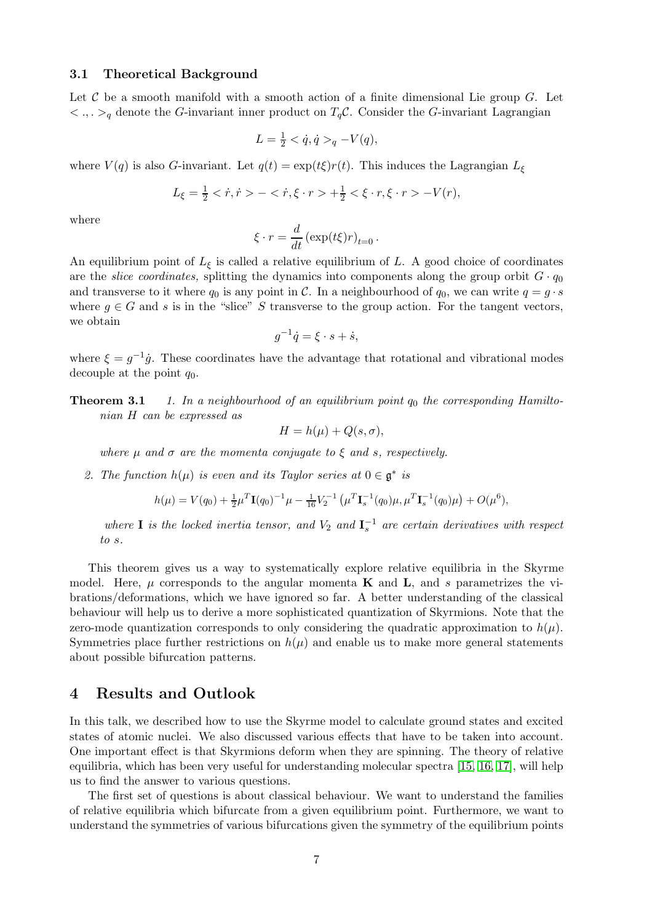#### 3.1 Theoretical Background

Let C be a smooth manifold with a smooth action of a finite dimensional Lie group  $G$ . Let  $\langle \cdot, \cdot \rangle_q$  denote the G-invariant inner product on  $T_q$ C. Consider the G-invariant Lagrangian

$$
L = \frac{1}{2} < \dot{q}, \dot{q} >_{q} - V(q),
$$

where  $V(q)$  is also G-invariant. Let  $q(t) = \exp(t\xi) r(t)$ . This induces the Lagrangian  $L_{\xi}$ 

$$
L_{\xi} = \frac{1}{2} < \dot{r}, \dot{r} > - < \dot{r}, \xi \cdot r > + \frac{1}{2} < \xi \cdot r, \xi \cdot r > -V(r),
$$

where

$$
\xi \cdot r = \frac{d}{dt} \left( \exp(t\xi) r \right)_{t=0}.
$$

An equilibrium point of  $L_{\xi}$  is called a relative equilibrium of L. A good choice of coordinates are the *slice coordinates*, splitting the dynamics into components along the group orbit  $G \cdot q_0$ and transverse to it where  $q_0$  is any point in C. In a neighbourhood of  $q_0$ , we can write  $q = g \cdot s$ where  $g \in G$  and s is in the "slice" S transverse to the group action. For the tangent vectors, we obtain

$$
g^{-1}\dot{q} = \xi \cdot s + \dot{s},
$$

where  $\xi = g^{-1}\dot{g}$ . These coordinates have the advantage that rotational and vibrational modes decouple at the point  $q_0$ .

<span id="page-7-1"></span><span id="page-7-0"></span>**Theorem 3.1** 1. In a neighbourhood of an equilibrium point  $q_0$  the corresponding Hamiltonian H can be expressed as

$$
H = h(\mu) + Q(s, \sigma),
$$

where u and  $\sigma$  are the momenta conjugate to  $\xi$  and s, respectively.

<span id="page-7-3"></span><span id="page-7-2"></span>2. The function  $h(\mu)$  is even and its Taylor series at  $0 \in \mathfrak{g}^*$  is

$$
h(\mu) = V(q_0) + \frac{1}{2}\mu^T \mathbf{I}(q_0)^{-1} \mu - \frac{1}{16} V_2^{-1} (\mu^T \mathbf{I}_s^{-1}(q_0) \mu, \mu^T \mathbf{I}_s^{-1}(q_0) \mu) + O(\mu^6),
$$

<span id="page-7-4"></span>where **I** is the locked inertia tensor, and  $V_2$  and  $I_s^{-1}$  are certain derivatives with respect to s.

<span id="page-7-7"></span><span id="page-7-6"></span><span id="page-7-5"></span>This theorem gives us a way to systematically explore relative equilibria in the Skyrme model. Here,  $\mu$  corresponds to the angular momenta **K** and **L**, and s parametrizes the vibrations/deformations, which we have ignored so far. A better understanding of the classical behaviour will help us to derive a more sophisticated quantization of Skyrmions. Note that the zero-mode quantization corresponds to only considering the quadratic approximation to  $h(\mu)$ . Symmetries place further restrictions on  $h(\mu)$  and enable us to make more general statements about possible bifurcation patterns.

#### <span id="page-7-10"></span><span id="page-7-9"></span><span id="page-7-8"></span>4 Results and Outlook

<span id="page-7-11"></span>In this talk, we described how to use the Skyrme model to calculate ground states and excited states of atomic nuclei. We also discussed various effects that have to be taken into account. One important effect is that Skyrmions deform when they are spinning. The theory of relative equilibria, which has been very useful for understanding molecular spectra [\[15,](#page-8-0) [16,](#page-8-1) [17\]](#page-8-2), will help us to find the answer to various questions.

<span id="page-7-13"></span><span id="page-7-12"></span>The first set of questions is about classical behaviour. We want to understand the families of relative equilibria which bifurcate from a given equilibrium point. Furthermore, we want to understand the symmetries of various bifurcations given the symmetry of the equilibrium points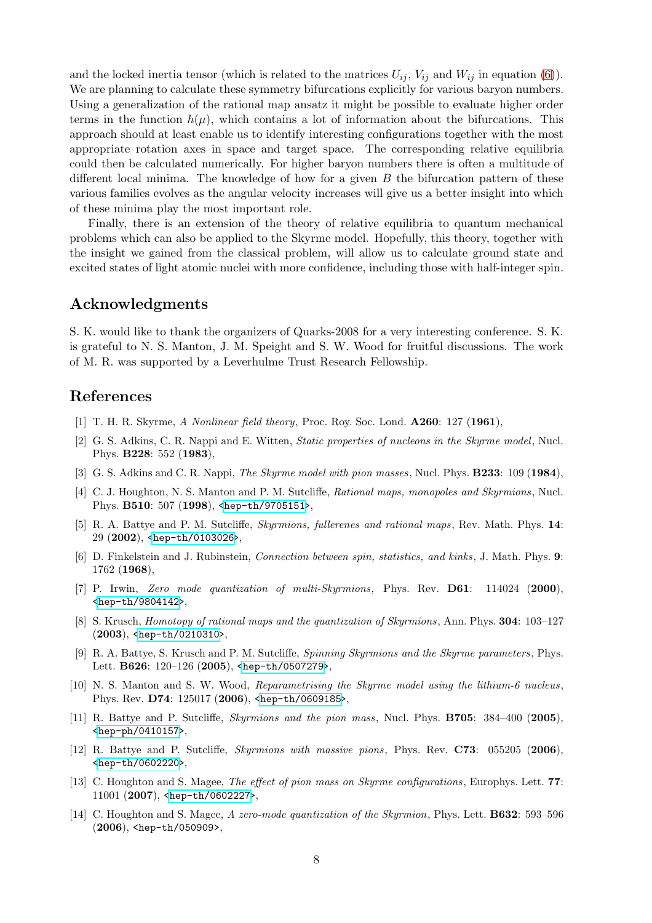<span id="page-8-2"></span><span id="page-8-1"></span><span id="page-8-0"></span>and the locked inertia tensor (which is related to the matrices  $U_{ij}$ ,  $V_{ij}$  and  $W_{ij}$  in equation [\(6\)](#page-4-1)). We are planning to calculate these symmetry bifurcations explicitly for various baryon numbers. Using a generalization of the rational map ansatz it might be possible to evaluate higher order terms in the function  $h(\mu)$ , which contains a lot of information about the bifurcations. This approach should at least enable us to identify interesting configurations together with the most appropriate rotation axes in space and target space. The corresponding relative equilibria could then be calculated numerically. For higher baryon numbers there is often a multitude of different local minima. The knowledge of how for a given  $B$  the bifurcation pattern of these various families evolves as the angular velocity increases will give us a better insight into which of these minima play the most important role.

<span id="page-8-8"></span><span id="page-8-5"></span><span id="page-8-4"></span><span id="page-8-3"></span>Finally, there is an extension of the theory of relative equilibria to quantum mechanical problems which can also be applied to the Skyrme model. Hopefully, this theory, together with the insight we gained from the classical problem, will allow us to calculate ground state and excited states of light atomic nuclei with more confidence, including those with half-integer spin.

## <span id="page-8-7"></span><span id="page-8-6"></span>Acknowledgments

<span id="page-8-9"></span>S. K. would like to thank the organizers of Quarks-2008 for a very interesting conference. S. K. is grateful to N. S. Manton, J. M. Speight and S. W. Wood for fruitful discussions. The work of M. R. was supported by a Leverhulme Trust Research Fellowship.

#### <span id="page-8-13"></span><span id="page-8-12"></span>References

- <span id="page-8-10"></span>[1] T. H. R. Skyrme, A Nonlinear field theory, Proc. Roy. Soc. Lond. **A260**: 127 (1961),
- [2] G. S. Adkins, C. R. Nappi and E. Witten, Static properties of nucleons in the Skyrme model, Nucl. Phys. B228: 552 (1983),
- <span id="page-8-11"></span>[3] G. S. Adkins and C. R. Nappi, *The Skyrme model with pion masses*, Nucl. Phys. **B233**: 109 (1984),
- <span id="page-8-14"></span>[4] C. J. Houghton, N. S. Manton and P. M. Sutcliffe, Rational maps, monopoles and Skyrmions, Nucl. Phys. B510: 507 (1998), [<hep-th/9705151>](http://arxiv.org/abs/hep-th/9705151),
- <span id="page-8-15"></span>[5] R. A. Battye and P. M. Sutcliffe, Skyrmions, fullerenes and rational maps, Rev. Math. Phys. 14: 29 (2002), [<hep-th/0103026>](http://arxiv.org/abs/hep-th/0103026),
- <span id="page-8-16"></span>[6] D. Finkelstein and J. Rubinstein, Connection between spin, statistics, and kinks, J. Math. Phys. 9: 1762 (1968),
- <span id="page-8-17"></span>[7] P. Irwin, Zero mode quantization of multi-Skyrmions, Phys. Rev. **D61**: 114024 (2000), [<hep-th/9804142>](http://arxiv.org/abs/hep-th/9804142),
- <span id="page-8-18"></span>[8] S. Krusch, Homotopy of rational maps and the quantization of Skyrmions, Ann. Phys. 304: 103–127 (2003), [<hep-th/0210310>](http://arxiv.org/abs/hep-th/0210310),
- <span id="page-8-19"></span>[9] R. A. Battye, S. Krusch and P. M. Sutcliffe, Spinning Skyrmions and the Skyrme parameters, Phys. Lett. B626: 120-126 (2005), [<hep-th/0507279>](http://arxiv.org/abs/hep-th/0507279),
- [10] N. S. Manton and S. W. Wood, Reparametrising the Skyrme model using the lithium-6 nucleus, Phys. Rev. D74: 125017 (2006), [<hep-th/0609185>](http://arxiv.org/abs/hep-th/0609185),
- [11] R. Battye and P. Sutcliffe, *Skyrmions and the pion mass*, Nucl. Phys. **B705**: 384–400 (2005), [<hep-ph/0410157>](http://arxiv.org/abs/hep-ph/0410157),
- [12] R. Battye and P. Sutcliffe, Skyrmions with massive pions, Phys. Rev. C73: 055205 (2006), [<hep-th/0602220>](http://arxiv.org/abs/hep-th/0602220),
- [13] C. Houghton and S. Magee, *The effect of pion mass on Skyrme configurations*, Europhys. Lett. **77**: 11001 (2007), [<hep-th/0602227>](http://arxiv.org/abs/hep-th/0602227),
- [14] C. Houghton and S. Magee, A zero-mode quantization of the Skyrmion, Phys. Lett. **B632**: 593–596 (2006), <hep-th/050909>,